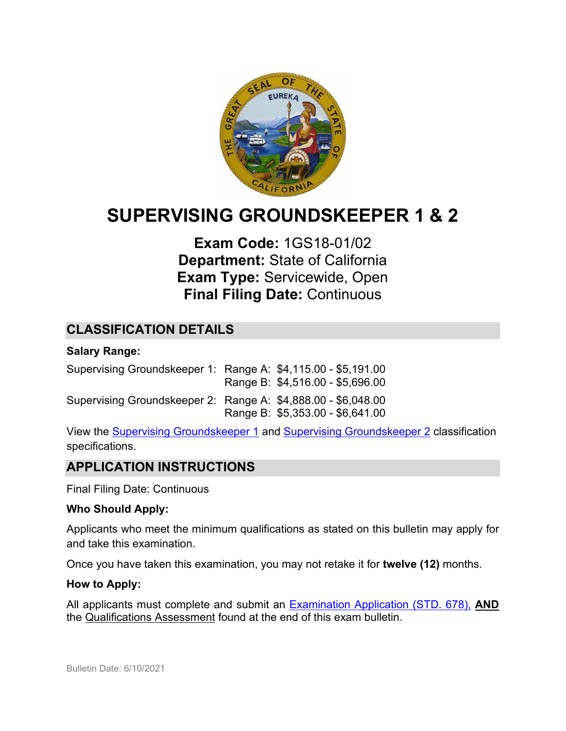

# **SUPERVISING GROUNDSKEEPER 1 & 2**

# **Exam Code:** 1GS18-01/02 **Department:** State of California **Exam Type:** Servicewide, Open **Final Filing Date:** Continuous

# **CLASSIFICATION DETAILS**

#### **Salary Range:**

Supervising Groundskeeper 1: Range A:\$4,115.00 - \$5,191.00 Range B: \$4,516.00 - \$5,696.00 Supervising Groundskeeper 2: Range A: \$4,888.00 - \$6,048.00 Range B: \$5,353.00 - \$6,641.00

View the [Supervising Groundskeeper 1](https://www.calhr.ca.gov/state-hr-professionals/Pages/0719.aspx) and [Supervising Groundskeeper 2](https://www.calhr.ca.gov/state-hr-professionals/Pages/0717.aspx) classification specifications.

# **APPLICATION INSTRUCTIONS**

Final Filing Date: Continuous

#### **Who Should Apply:**

Applicants who meet the minimum qualifications as stated on this bulletin may apply for and take this examination.

Once you have taken this examination, you may not retake it for **twelve (12)** months.

#### **How to Apply:**

All applicants must complete and submit an [Examination Application \(STD. 678\),](https://jobs.ca.gov/pdf/STD678.pdf) **AND** the Qualifications Assessment found at the end of this exam bulletin.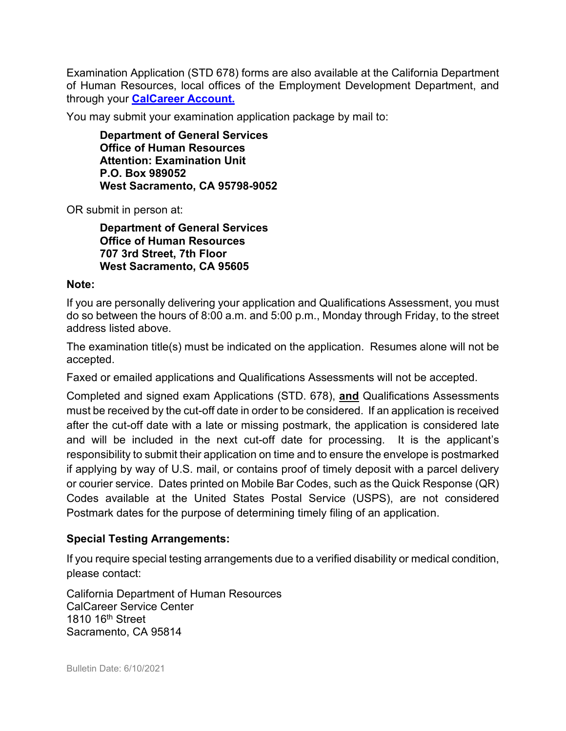Examination Application (STD 678) forms are also available at the California Department of Human Resources, local offices of the Employment Development Department, and through your **[CalCareer Account.](http://www.jobs.ca.gov/)**

You may submit your examination application package by mail to:

**Department of General Services Office of Human Resources Attention: Examination Unit P.O. Box 989052 West Sacramento, CA 95798-9052**

OR submit in person at:

**Department of General Services Office of Human Resources 707 3rd Street, 7th Floor West Sacramento, CA 95605**

#### **Note:**

If you are personally delivering your application and Qualifications Assessment, you must do so between the hours of 8:00 a.m. and 5:00 p.m., Monday through Friday, to the street address listed above.

The examination title(s) must be indicated on the application. Resumes alone will not be accepted.

Faxed or emailed applications and Qualifications Assessments will not be accepted.

Completed and signed exam Applications (STD. 678), **and** Qualifications Assessments must be received by the cut-off date in order to be considered. If an application is received after the cut-off date with a late or missing postmark, the application is considered late and will be included in the next cut-off date for processing. It is the applicant's responsibility to submit their application on time and to ensure the envelope is postmarked if applying by way of U.S. mail, or contains proof of timely deposit with a parcel delivery or courier service. Dates printed on Mobile Bar Codes, such as the Quick Response (QR) Codes available at the United States Postal Service (USPS), are not considered Postmark dates for the purpose of determining timely filing of an application.

## **Special Testing Arrangements:**

If you require special testing arrangements due to a verified disability or medical condition, please contact:

California Department of Human Resources CalCareer Service Center 1810 16<sup>th</sup> Street Sacramento, CA 95814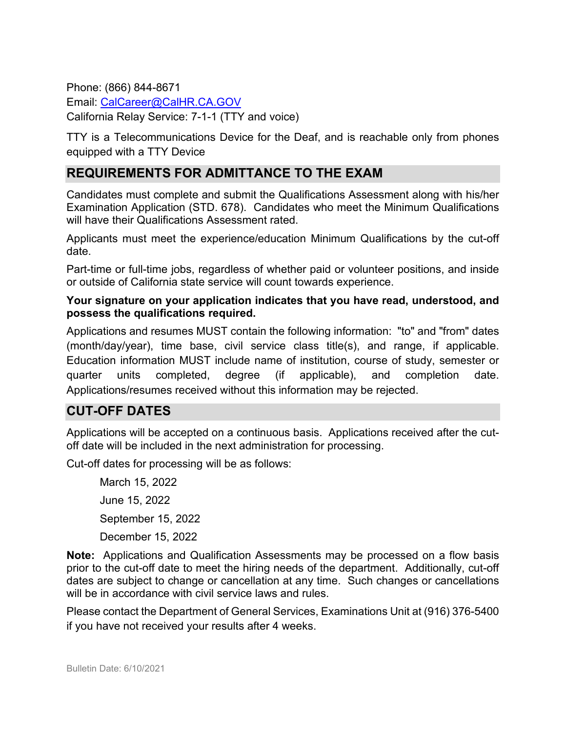Phone: (866) 844-8671 Email: [CalCareer@CalHR.CA.GOV](mailto:CalCareer@CalHR.CA.GOV) California Relay Service: 7-1-1 (TTY and voice)

TTY is a Telecommunications Device for the Deaf, and is reachable only from phones equipped with a TTY Device

# **REQUIREMENTS FOR ADMITTANCE TO THE EXAM**

Candidates must complete and submit the Qualifications Assessment along with his/her Examination Application (STD. 678). Candidates who meet the Minimum Qualifications will have their Qualifications Assessment rated.

Applicants must meet the experience/education Minimum Qualifications by the cut-off date.

Part-time or full-time jobs, regardless of whether paid or volunteer positions, and inside or outside of California state service will count towards experience.

#### **Your signature on your application indicates that you have read, understood, and possess the qualifications required.**

Applications and resumes MUST contain the following information: "to" and "from" dates (month/day/year), time base, civil service class title(s), and range, if applicable. Education information MUST include name of institution, course of study, semester or quarter units completed, degree (if applicable), and completion date. Applications/resumes received without this information may be rejected.

# **CUT-OFF DATES**

Applications will be accepted on a continuous basis. Applications received after the cutoff date will be included in the next administration for processing.

Cut-off dates for processing will be as follows:

March 15, 2022 June 15, 2022 September 15, 2022 December 15, 2022

**Note:** Applications and Qualification Assessments may be processed on a flow basis prior to the cut-off date to meet the hiring needs of the department. Additionally, cut-off dates are subject to change or cancellation at any time. Such changes or cancellations will be in accordance with civil service laws and rules.

Please contact the Department of General Services, Examinations Unit at (916) 376-5400 if you have not received your results after 4 weeks.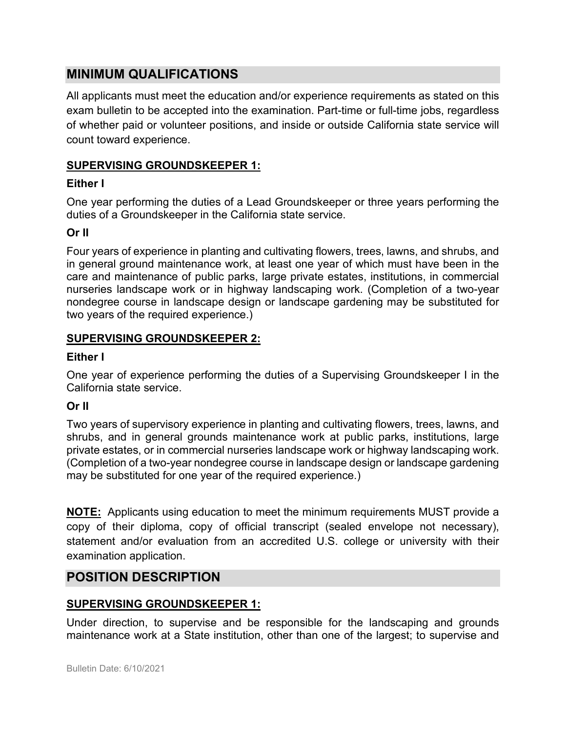# **MINIMUM QUALIFICATIONS**

All applicants must meet the education and/or experience requirements as stated on this exam bulletin to be accepted into the examination. Part-time or full-time jobs, regardless of whether paid or volunteer positions, and inside or outside California state service will count toward experience.

## **SUPERVISING GROUNDSKEEPER 1:**

## **Either I**

One year performing the duties of a Lead Groundskeeper or three years performing the duties of a Groundskeeper in the California state service.

# **Or II**

Four years of experience in planting and cultivating flowers, trees, lawns, and shrubs, and in general ground maintenance work, at least one year of which must have been in the care and maintenance of public parks, large private estates, institutions, in commercial nurseries landscape work or in highway landscaping work. (Completion of a two-year nondegree course in landscape design or landscape gardening may be substituted for two years of the required experience.)

# **SUPERVISING GROUNDSKEEPER 2:**

## **Either I**

One year of experience performing the duties of a Supervising Groundskeeper I in the California state service.

## **Or II**

Two years of supervisory experience in planting and cultivating flowers, trees, lawns, and shrubs, and in general grounds maintenance work at public parks, institutions, large private estates, or in commercial nurseries landscape work or highway landscaping work. (Completion of a two-year nondegree course in landscape design or landscape gardening may be substituted for one year of the required experience.)

**NOTE:** Applicants using education to meet the minimum requirements MUST provide a copy of their diploma, copy of official transcript (sealed envelope not necessary), statement and/or evaluation from an accredited U.S. college or university with their examination application.

# **POSITION DESCRIPTION**

## **SUPERVISING GROUNDSKEEPER 1:**

Under direction, to supervise and be responsible for the landscaping and grounds maintenance work at a State institution, other than one of the largest; to supervise and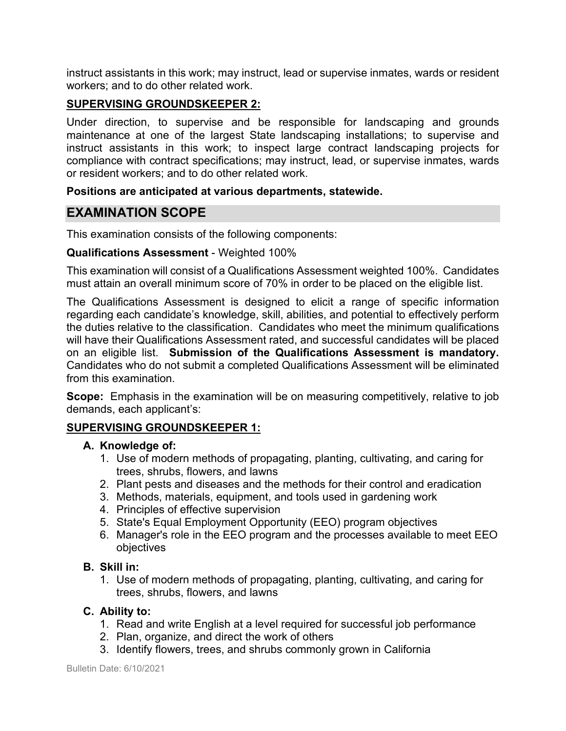instruct assistants in this work; may instruct, lead or supervise inmates, wards or resident workers; and to do other related work.

#### **SUPERVISING GROUNDSKEEPER 2:**

Under direction, to supervise and be responsible for landscaping and grounds maintenance at one of the largest State landscaping installations; to supervise and instruct assistants in this work; to inspect large contract landscaping projects for compliance with contract specifications; may instruct, lead, or supervise inmates, wards or resident workers; and to do other related work.

#### **Positions are anticipated at various departments, statewide.**

# **EXAMINATION SCOPE**

This examination consists of the following components:

#### **Qualifications Assessment** - Weighted 100%

This examination will consist of a Qualifications Assessment weighted 100%. Candidates must attain an overall minimum score of 70% in order to be placed on the eligible list.

The Qualifications Assessment is designed to elicit a range of specific information regarding each candidate's knowledge, skill, abilities, and potential to effectively perform the duties relative to the classification. Candidates who meet the minimum qualifications will have their Qualifications Assessment rated, and successful candidates will be placed on an eligible list. **Submission of the Qualifications Assessment is mandatory.** Candidates who do not submit a completed Qualifications Assessment will be eliminated from this examination.

**Scope:** Emphasis in the examination will be on measuring competitively, relative to job demands, each applicant's:

#### **SUPERVISING GROUNDSKEEPER 1:**

#### **A. Knowledge of:**

- 1. Use of modern methods of propagating, planting, cultivating, and caring for trees, shrubs, flowers, and lawns
- 2. Plant pests and diseases and the methods for their control and eradication
- 3. Methods, materials, equipment, and tools used in gardening work
- 4. Principles of effective supervision
- 5. State's Equal Employment Opportunity (EEO) program objectives
- 6. Manager's role in the EEO program and the processes available to meet EEO objectives

#### **B. Skill in:**

1. Use of modern methods of propagating, planting, cultivating, and caring for trees, shrubs, flowers, and lawns

#### **C. Ability to:**

- 1. Read and write English at a level required for successful job performance
- 2. Plan, organize, and direct the work of others
- 3. Identify flowers, trees, and shrubs commonly grown in California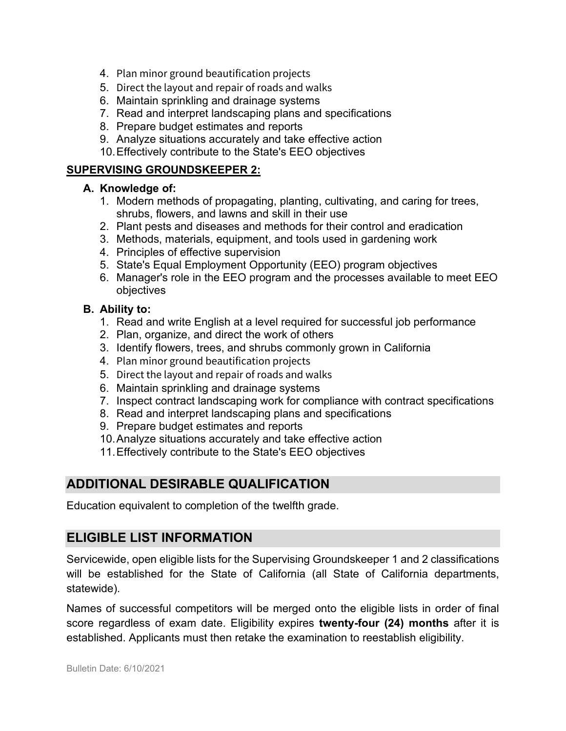- 4. Plan minor ground beautification projects
- 5. Direct the layout and repair of roads and walks
- 6. Maintain sprinkling and drainage systems
- 7. Read and interpret landscaping plans and specifications
- 8. Prepare budget estimates and reports
- 9. Analyze situations accurately and take effective action
- 10.Effectively contribute to the State's EEO objectives

## **SUPERVISING GROUNDSKEEPER 2:**

#### **A. Knowledge of:**

- 1. Modern methods of propagating, planting, cultivating, and caring for trees, shrubs, flowers, and lawns and skill in their use
- 2. Plant pests and diseases and methods for their control and eradication
- 3. Methods, materials, equipment, and tools used in gardening work
- 4. Principles of effective supervision
- 5. State's Equal Employment Opportunity (EEO) program objectives
- 6. Manager's role in the EEO program and the processes available to meet EEO objectives

## **B. Ability to:**

- 1. Read and write English at a level required for successful job performance
- 2. Plan, organize, and direct the work of others
- 3. Identify flowers, trees, and shrubs commonly grown in California
- 4. Plan minor ground beautification projects
- 5. Direct the layout and repair of roads and walks
- 6. Maintain sprinkling and drainage systems
- 7. Inspect contract landscaping work for compliance with contract specifications
- 8. Read and interpret landscaping plans and specifications
- 9. Prepare budget estimates and reports
- 10.Analyze situations accurately and take effective action
- 11.Effectively contribute to the State's EEO objectives

# **ADDITIONAL DESIRABLE QUALIFICATION**

Education equivalent to completion of the twelfth grade.

# **ELIGIBLE LIST INFORMATION**

Servicewide, open eligible lists for the Supervising Groundskeeper 1 and 2 classifications will be established for the State of California (all State of California departments, statewide).

Names of successful competitors will be merged onto the eligible lists in order of final score regardless of exam date. Eligibility expires **twenty-four (24) months** after it is established. Applicants must then retake the examination to reestablish eligibility.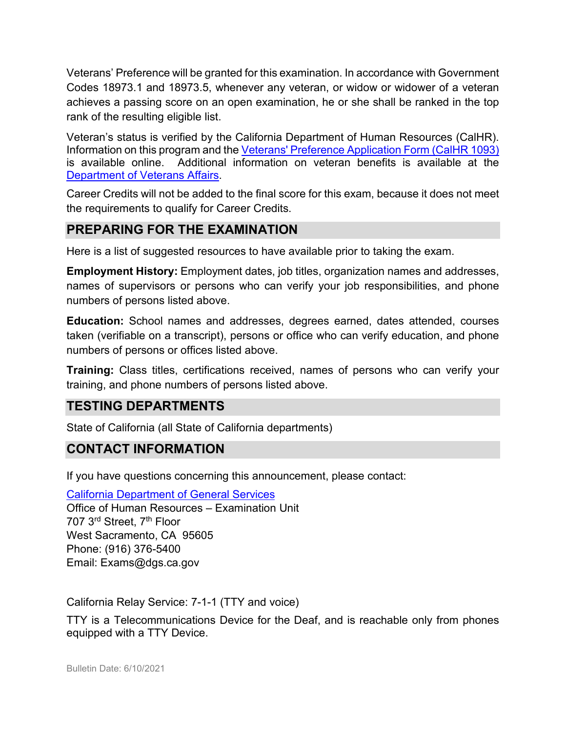Veterans' Preference will be granted for this examination. In accordance with Government Codes 18973.1 and 18973.5, whenever any veteran, or widow or widower of a veteran achieves a passing score on an open examination, he or she shall be ranked in the top rank of the resulting eligible list.

Veteran's status is verified by the California Department of Human Resources (CalHR). Information on this program and the [Veterans' Preference Application Form \(CalHR 1093\)](https://www.jobs.ca.gov/CalHRPublic/Landing/Jobs/VeteransInformation.aspx) is available online. Additional information on veteran benefits is available at the [Department of Veterans Affairs.](https://www.va.gov/)

Career Credits will not be added to the final score for this exam, because it does not meet the requirements to qualify for Career Credits.

# **PREPARING FOR THE EXAMINATION**

Here is a list of suggested resources to have available prior to taking the exam.

**Employment History:** Employment dates, job titles, organization names and addresses, names of supervisors or persons who can verify your job responsibilities, and phone numbers of persons listed above.

**Education:** School names and addresses, degrees earned, dates attended, courses taken (verifiable on a transcript), persons or office who can verify education, and phone numbers of persons or offices listed above.

**Training:** Class titles, certifications received, names of persons who can verify your training, and phone numbers of persons listed above.

# **TESTING DEPARTMENTS**

State of California (all State of California departments)

# **CONTACT INFORMATION**

If you have questions concerning this announcement, please contact:

[California Department of General Services](https://www.dgs.ca.gov/)

Office of Human Resources – Examination Unit 707 3<sup>rd</sup> Street, 7<sup>th</sup> Floor West Sacramento, CA 95605 Phone: (916) 376-5400 Email: Exams@dgs.ca.gov

California Relay Service: 7-1-1 (TTY and voice)

TTY is a Telecommunications Device for the Deaf, and is reachable only from phones equipped with a TTY Device.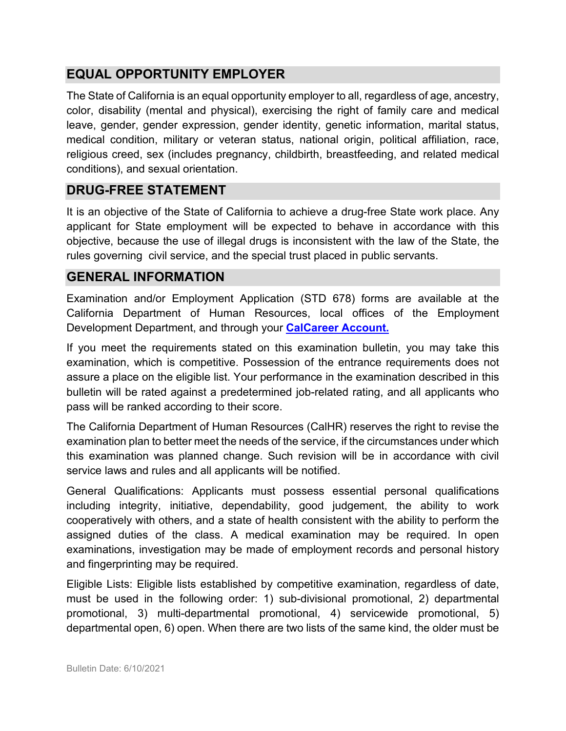# **EQUAL OPPORTUNITY EMPLOYER**

The State of California is an equal opportunity employer to all, regardless of age, ancestry, color, disability (mental and physical), exercising the right of family care and medical leave, gender, gender expression, gender identity, genetic information, marital status, medical condition, military or veteran status, national origin, political affiliation, race, religious creed, sex (includes pregnancy, childbirth, breastfeeding, and related medical conditions), and sexual orientation.

# **DRUG-FREE STATEMENT**

It is an objective of the State of California to achieve a drug-free State work place. Any applicant for State employment will be expected to behave in accordance with this objective, because the use of illegal drugs is inconsistent with the law of the State, the rules governing civil service, and the special trust placed in public servants.

# **GENERAL INFORMATION**

Examination and/or Employment Application (STD 678) forms are available at the California Department of Human Resources, local offices of the Employment Development Department, and through your **[CalCareer Account.](http://www.jobs.ca.gov/)**

If you meet the requirements stated on this examination bulletin, you may take this examination, which is competitive. Possession of the entrance requirements does not assure a place on the eligible list. Your performance in the examination described in this bulletin will be rated against a predetermined job-related rating, and all applicants who pass will be ranked according to their score.

The California Department of Human Resources (CalHR) reserves the right to revise the examination plan to better meet the needs of the service, if the circumstances under which this examination was planned change. Such revision will be in accordance with civil service laws and rules and all applicants will be notified.

General Qualifications: Applicants must possess essential personal qualifications including integrity, initiative, dependability, good judgement, the ability to work cooperatively with others, and a state of health consistent with the ability to perform the assigned duties of the class. A medical examination may be required. In open examinations, investigation may be made of employment records and personal history and fingerprinting may be required.

Eligible Lists: Eligible lists established by competitive examination, regardless of date, must be used in the following order: 1) sub-divisional promotional, 2) departmental promotional, 3) multi-departmental promotional, 4) servicewide promotional, 5) departmental open, 6) open. When there are two lists of the same kind, the older must be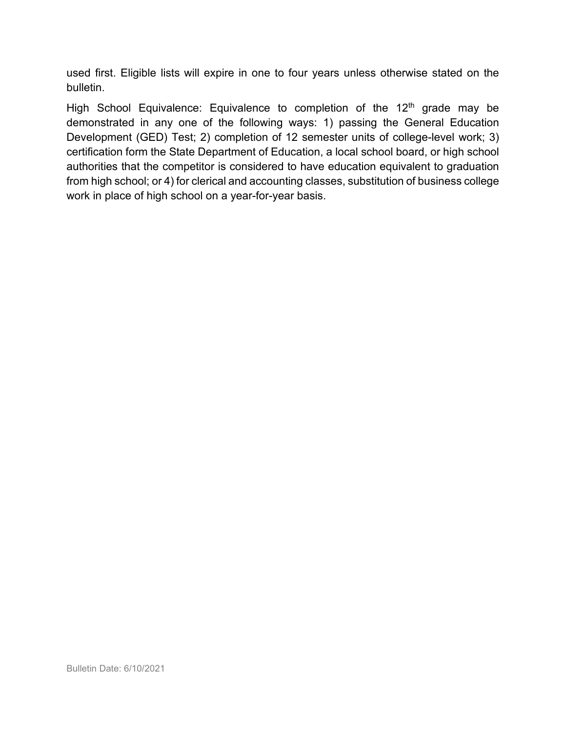used first. Eligible lists will expire in one to four years unless otherwise stated on the bulletin.

High School Equivalence: Equivalence to completion of the  $12<sup>th</sup>$  grade may be demonstrated in any one of the following ways: 1) passing the General Education Development (GED) Test; 2) completion of 12 semester units of college-level work; 3) certification form the State Department of Education, a local school board, or high school authorities that the competitor is considered to have education equivalent to graduation from high school; or 4) for clerical and accounting classes, substitution of business college work in place of high school on a year-for-year basis.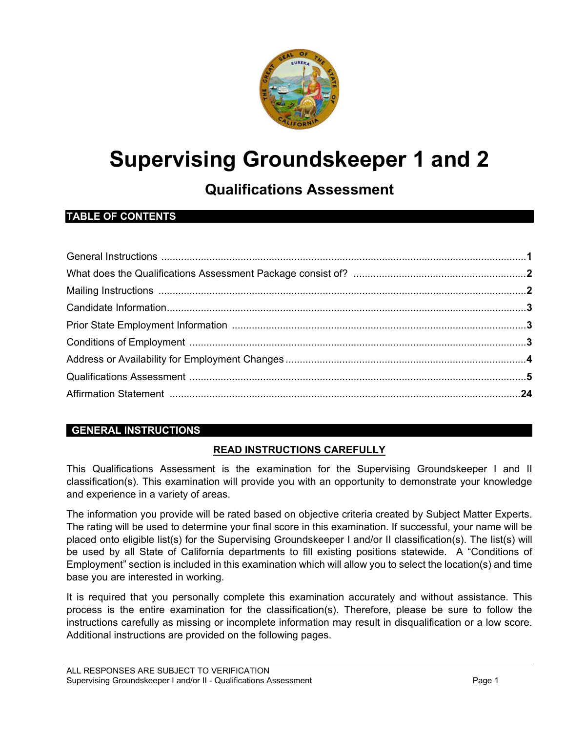

# **Supervising Groundskeeper 1 and 2**

# **Qualifications Assessment**

## **TABLE OF CONTENTS**

#### **GENERAL INSTRUCTIONS**

#### **READ INSTRUCTIONS CAREFULLY**

This Qualifications Assessment is the examination for the Supervising Groundskeeper I and II classification(s). This examination will provide you with an opportunity to demonstrate your knowledge and experience in a variety of areas.

The information you provide will be rated based on objective criteria created by Subject Matter Experts. The rating will be used to determine your final score in this examination. If successful, your name will be placed onto eligible list(s) for the Supervising Groundskeeper I and/or II classification(s). The list(s) will be used by all State of California departments to fill existing positions statewide. A "Conditions of Employment" section is included in this examination which will allow you to select the location(s) and time base you are interested in working.

It is required that you personally complete this examination accurately and without assistance. This process is the entire examination for the classification(s). Therefore, please be sure to follow the instructions carefully as missing or incomplete information may result in disqualification or a low score. Additional instructions are provided on the following pages.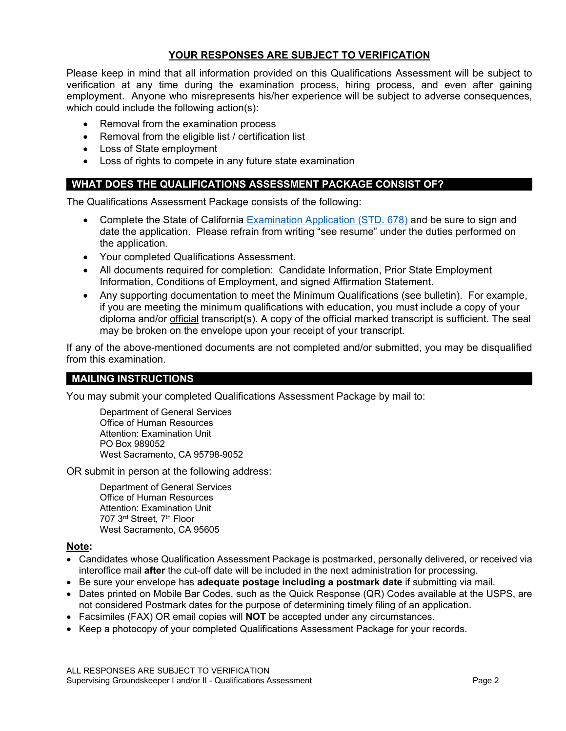#### **YOUR RESPONSES ARE SUBJECT TO VERIFICATION**

Please keep in mind that all information provided on this Qualifications Assessment will be subject to verification at any time during the examination process, hiring process, and even after gaining employment. Anyone who misrepresents his/her experience will be subject to adverse consequences, which could include the following action(s):

- Removal from the examination process
- Removal from the eligible list / certification list
- Loss of State employment
- Loss of rights to compete in any future state examination

#### **WHAT DOES THE QUALIFICATIONS ASSESSMENT PACKAGE CONSIST OF?**

The Qualifications Assessment Package consists of the following:

- Complete the State of California Examination Application (STD, 678) and be sure to sign and date the application. Please refrain from writing "see resume" under the duties performed on the application.
- Your completed Qualifications Assessment.
- All documents required for completion: Candidate Information, Prior State Employment Information, Conditions of Employment, and signed Affirmation Statement.
- Any supporting documentation to meet the Minimum Qualifications (see bulletin). For example, if you are meeting the minimum qualifications with education, you must include a copy of your diploma and/or official transcript(s). A copy of the official marked transcript is sufficient. The seal may be broken on the envelope upon your receipt of your transcript.

If any of the above-mentioned documents are not completed and/or submitted, you may be disqualified from this examination.

#### **MAILING INSTRUCTIONS**

You may submit your completed Qualifications Assessment Package by mail to:

Department of General Services Office of Human Resources Attention: Examination Unit PO Box 989052 West Sacramento, CA 95798-9052

OR submit in person at the following address:

Department of General Services Office of Human Resources Attention: Examination Unit 707 3rd Street, 7th Floor West Sacramento, CA 95605

#### **Note:**

- Candidates whose Qualification Assessment Package is postmarked, personally delivered, or received via interoffice mail **after** the cut-off date will be included in the next administration for processing.
- Be sure your envelope has **adequate postage including a postmark date** if submitting via mail.
- Dates printed on Mobile Bar Codes, such as the Quick Response (QR) Codes available at the USPS, are not considered Postmark dates for the purpose of determining timely filing of an application.
- Facsimiles (FAX) OR email copies will **NOT** be accepted under any circumstances.
- Keep a photocopy of your completed Qualifications Assessment Package for your records.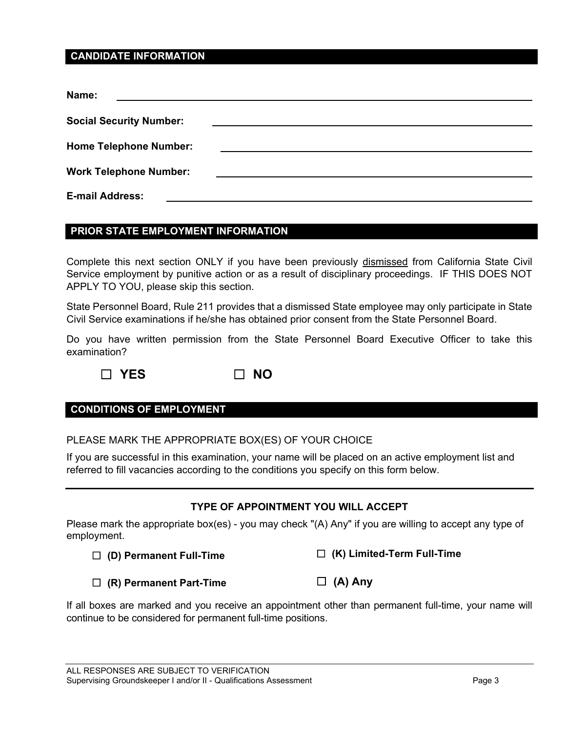#### **CANDIDATE INFORMATION**

| Name:                          |  |
|--------------------------------|--|
| <b>Social Security Number:</b> |  |
| <b>Home Telephone Number:</b>  |  |
| <b>Work Telephone Number:</b>  |  |
| <b>E-mail Address:</b>         |  |

#### **PRIOR STATE EMPLOYMENT INFORMATION**

Complete this next section ONLY if you have been previously dismissed from California State Civil Service employment by punitive action or as a result of disciplinary proceedings. IF THIS DOES NOT APPLY TO YOU, please skip this section.

State Personnel Board, Rule 211 provides that a dismissed State employee may only participate in State Civil Service examinations if he/she has obtained prior consent from the State Personnel Board.

Do you have written permission from the State Personnel Board Executive Officer to take this examination?

☐ **YES** ☐ **NO**

#### **CONDITIONS OF EMPLOYMENT**

PLEASE MARK THE APPROPRIATE BOX(ES) OF YOUR CHOICE

If you are successful in this examination, your name will be placed on an active employment list and referred to fill vacancies according to the conditions you specify on this form below.

#### **TYPE OF APPOINTMENT YOU WILL ACCEPT**

Please mark the appropriate box(es) - you may check "(A) Any" if you are willing to accept any type of employment.

|  | $\Box$ (D) Permanent Full-Time |  |
|--|--------------------------------|--|
|--|--------------------------------|--|

☐ **(K) Limited-Term Full-Time**

☐ **(R) Permanent Part-Time**

☐ **(A) Any**

If all boxes are marked and you receive an appointment other than permanent full-time, your name will continue to be considered for permanent full-time positions.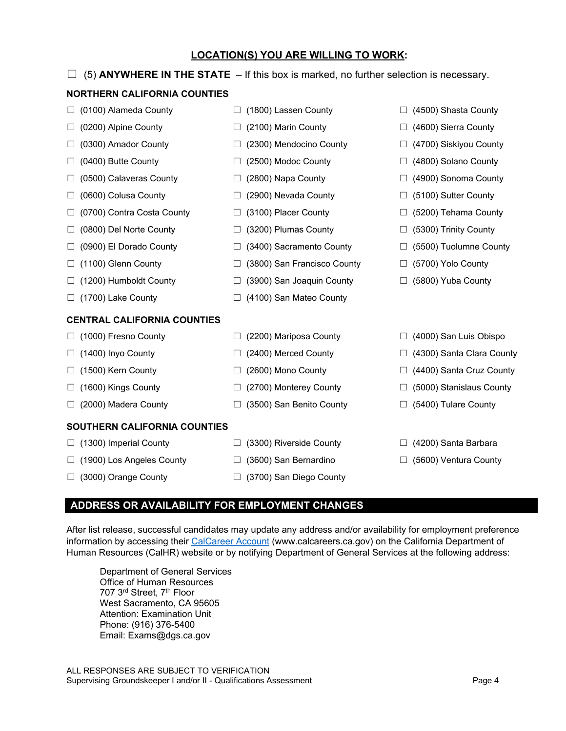# Human Resources (CalHR) website or by notifying Department of General Services at the following address: Department of General Services

**ADDRESS OR AVAILABILITY FOR EMPLOYMENT CHANGES**

Email: Exams@dgs.ca.gov

# **LOCATION(S) YOU ARE WILLING TO WORK:**

#### $\Box$  (5) **ANYWHERE IN THE STATE** – If this box is marked, no further selection is necessary.

#### **NORTHERN CALIFORNIA COUNTIES**

- ☐ (0100) Alameda County ☐ (0200) Alpine County
- ☐ (0300) Amador County
- ☐ (0400) Butte County
- ☐ (0500) Calaveras County
- ☐ (0600) Colusa County
- ☐ (0700) Contra Costa County
- ☐ (0800) Del Norte County
- ☐ (0900) El Dorado County
- □ (1100) Glenn County
- ☐ (1200) Humboldt County
- ☐ (1700) Lake County

#### **CENTRAL CALIFORNIA COUNTIES**

- ☐ (1000) Fresno County
- $\Box$  (1400) Inyo County
- ☐ (1500) Kern County
- ☐ (1600) Kings County
- ☐ (2000) Madera County

#### **SOUTHERN CALIFORNIA COUNTIES**

- $\Box$  (1300) Imperial County
- ☐ (1900) Los Angeles County
- ☐ (3000) Orange County
- ☐ (1800) Lassen County
- $\Box$  (2100) Marin County
- ☐ (2300) Mendocino County
- ☐ (2500) Modoc County
- ☐ (2800) Napa County
- ☐ (2900) Nevada County
- ☐ (3100) Placer County
- ☐ (3200) Plumas County
- ☐ (3400) Sacramento County
- ☐ (3800) San Francisco County
- ☐ (3900) San Joaquin County
- $\Box$  (4100) San Mateo County
- ☐ (2200) Mariposa County
- ☐ (2400) Merced County
- ☐ (2600) Mono County
- ☐ (2700) Monterey County
- ☐ (3500) San Benito County
- $\Box$  (3300) Riverside County
- ☐ (3600) San Bernardino
- □ (3700) San Diego County

After list release, successful candidates may update any address and/or availability for employment preference information by accessing their [CalCareer Account](https://www.jobs.ca.gov/) (www.calcareers.ca.gov) on the California Department of

- ☐ (4500) Shasta County
- ☐ (4600) Sierra County
- ☐ (4700) Siskiyou County
- ☐ (4800) Solano County
- ☐ (4900) Sonoma County
- ☐ (5100) Sutter County
- □ (5200) Tehama County
- ☐ (5300) Trinity County
- $\Box$  (5500) Tuolumne County
- ☐ (5700) Yolo County
- ☐ (5800) Yuba County
- ☐ (4000) San Luis Obispo
- ☐ (4300) Santa Clara County
- ☐ (4400) Santa Cruz County
- ☐ (5000) Stanislaus County
- $\Box$  (5400) Tulare County
- $\Box$  (4200) Santa Barbara
- ☐ (5600) Ventura County

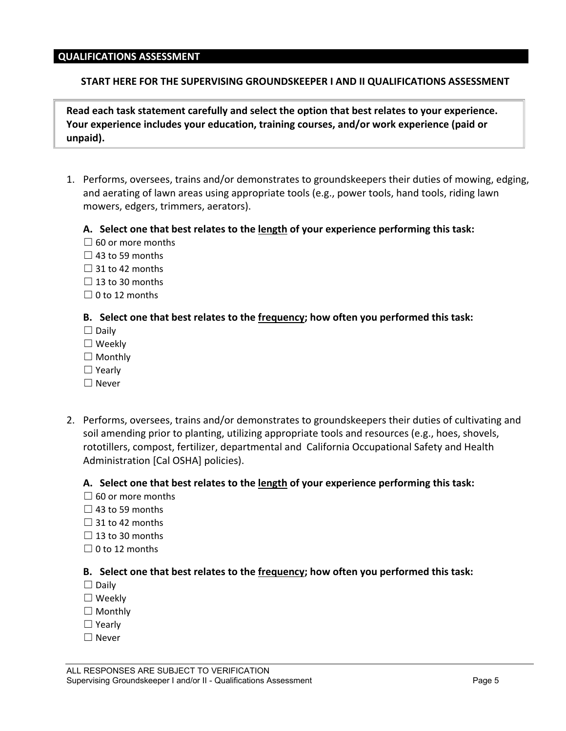#### **QUALIFICATIONS ASSESSMENT**

#### **START HERE FOR THE SUPERVISING GROUNDSKEEPER I AND II QUALIFICATIONS ASSESSMENT**

**Read each task statement carefully and select the option that best relates to your experience. Your experience includes your education, training courses, and/or work experience (paid or unpaid).**

1. Performs, oversees, trains and/or demonstrates to groundskeepers their duties of mowing, edging, and aerating of lawn areas using appropriate tools (e.g., power tools, hand tools, riding lawn mowers, edgers, trimmers, aerators).

#### **A. Select one that best relates to the length of your experience performing this task:**

- $\Box$  60 or more months
- $\Box$  43 to 59 months
- $\Box$  31 to 42 months
- $\Box$  13 to 30 months
- $\Box$  0 to 12 months

#### **B. Select one that best relates to the frequency; how often you performed this task:**

- $\square$  Daily
- ☐ Weekly
- ☐ Monthly
- ☐ Yearly
- ☐ Never
- 2. Performs, oversees, trains and/or demonstrates to groundskeepers their duties of cultivating and soil amending prior to planting, utilizing appropriate tools and resources (e.g., hoes, shovels, rototillers, compost, fertilizer, departmental and California Occupational Safety and Health Administration [Cal OSHA] policies).

#### **A. Select one that best relates to the length of your experience performing this task:**

- $\Box$  60 or more months
- $\Box$  43 to 59 months
- $\Box$  31 to 42 months
- $\Box$  13 to 30 months
- $\Box$  0 to 12 months

- $\Box$  Daily
- ☐ Weekly
- □ Monthly
- ☐ Yearly
- ☐ Never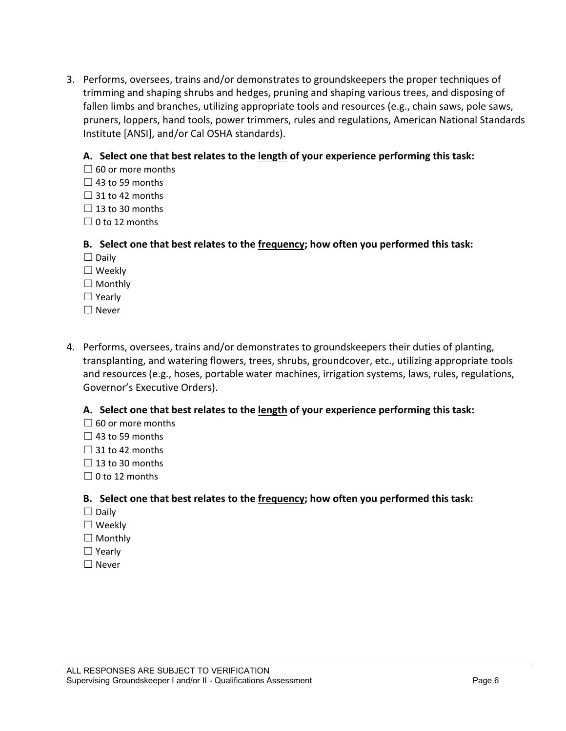3. Performs, oversees, trains and/or demonstrates to groundskeepers the proper techniques of trimming and shaping shrubs and hedges, pruning and shaping various trees, and disposing of fallen limbs and branches, utilizing appropriate tools and resources (e.g., chain saws, pole saws, pruners, loppers, hand tools, power trimmers, rules and regulations, American National Standards Institute [ANSI], and/or Cal OSHA standards).

#### **A. Select one that best relates to the length of your experience performing this task:**

- $\Box$  60 or more months
- $\Box$  43 to 59 months
- $\Box$  31 to 42 months
- $\Box$  13 to 30 months
- $\Box$  0 to 12 months

#### **B. Select one that best relates to the frequency; how often you performed this task:**

- $\Box$  Daily
- ☐ Weekly
- ☐ Monthly
- ☐ Yearly
- ☐ Never
- 4. Performs, oversees, trains and/or demonstrates to groundskeepers their duties of planting, transplanting, and watering flowers, trees, shrubs, groundcover, etc., utilizing appropriate tools and resources (e.g., hoses, portable water machines, irrigation systems, laws, rules, regulations, Governor's Executive Orders).

#### **A. Select one that best relates to the length of your experience performing this task:**

- $\Box$  60 or more months
- $\Box$  43 to 59 months
- $\Box$  31 to 42 months
- $\Box$  13 to 30 months
- $\Box$  0 to 12 months

- ☐ Daily
- ☐ Weekly
- ☐ Monthly
- ☐ Yearly
- ☐ Never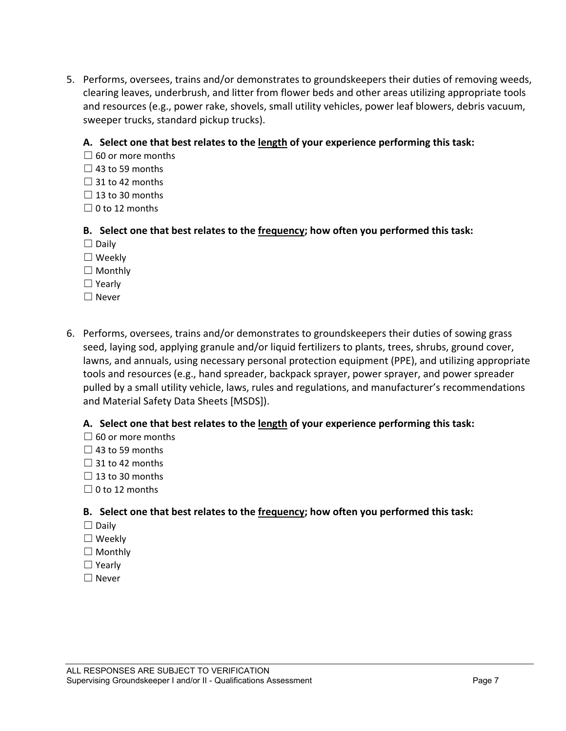5. Performs, oversees, trains and/or demonstrates to groundskeepers their duties of removing weeds, clearing leaves, underbrush, and litter from flower beds and other areas utilizing appropriate tools and resources (e.g., power rake, shovels, small utility vehicles, power leaf blowers, debris vacuum, sweeper trucks, standard pickup trucks).

#### **A. Select one that best relates to the length of your experience performing this task:**

- $\Box$  60 or more months
- $\Box$  43 to 59 months
- $\Box$  31 to 42 months
- $\Box$  13 to 30 months
- $\Box$  0 to 12 months

#### **B. Select one that best relates to the frequency; how often you performed this task:**

- $\Box$  Daily
- ☐ Weekly
- $\Box$  Monthly
- ☐ Yearly
- ☐ Never
- 6. Performs, oversees, trains and/or demonstrates to groundskeepers their duties of sowing grass seed, laying sod, applying granule and/or liquid fertilizers to plants, trees, shrubs, ground cover, lawns, and annuals, using necessary personal protection equipment (PPE), and utilizing appropriate tools and resources (e.g., hand spreader, backpack sprayer, power sprayer, and power spreader pulled by a small utility vehicle, laws, rules and regulations, and manufacturer's recommendations and Material Safety Data Sheets [MSDS]).

#### **A. Select one that best relates to the length of your experience performing this task:**

- $\Box$  60 or more months
- $\Box$  43 to 59 months
- $\Box$  31 to 42 months
- $\Box$  13 to 30 months
- $\Box$  0 to 12 months

- $\Box$  Daily
- ☐ Weekly
- □ Monthly
- ☐ Yearly
- ☐ Never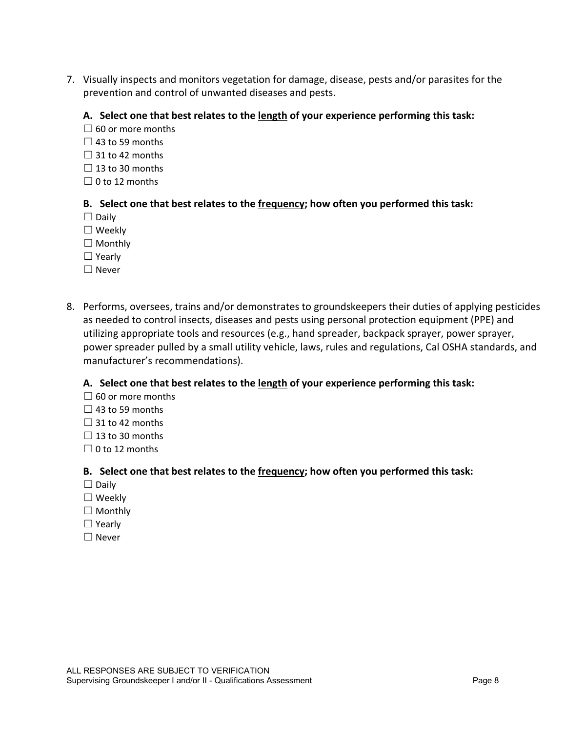7. Visually inspects and monitors vegetation for damage, disease, pests and/or parasites for the prevention and control of unwanted diseases and pests.

#### **A. Select one that best relates to the length of your experience performing this task:**

- $\Box$  60 or more months
- $\Box$  43 to 59 months
- $\Box$  31 to 42 months
- $\Box$  13 to 30 months
- $\Box$  0 to 12 months

#### **B. Select one that best relates to the frequency; how often you performed this task:**

- $\Box$  Daily
- ☐ Weekly
- □ Monthly
- ☐ Yearly
- ☐ Never
- 8. Performs, oversees, trains and/or demonstrates to groundskeepers their duties of applying pesticides as needed to control insects, diseases and pests using personal protection equipment (PPE) and utilizing appropriate tools and resources (e.g., hand spreader, backpack sprayer, power sprayer, power spreader pulled by a small utility vehicle, laws, rules and regulations, Cal OSHA standards, and manufacturer's recommendations).

#### **A. Select one that best relates to the length of your experience performing this task:**

- $\Box$  60 or more months
- $\Box$  43 to 59 months
- $\Box$  31 to 42 months
- $\Box$  13 to 30 months
- $\Box$  0 to 12 months

- ☐ Daily
- ☐ Weekly
- □ Monthly
- ☐ Yearly
- ☐ Never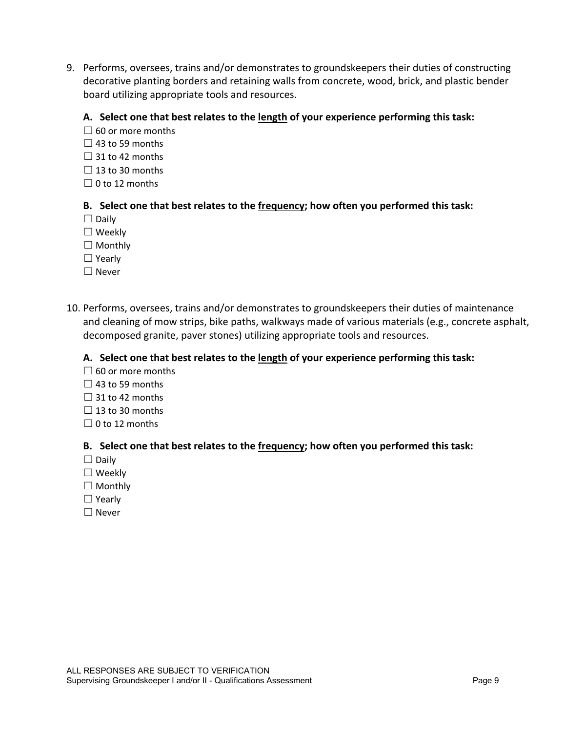9. Performs, oversees, trains and/or demonstrates to groundskeepers their duties of constructing decorative planting borders and retaining walls from concrete, wood, brick, and plastic bender board utilizing appropriate tools and resources.

#### **A. Select one that best relates to the length of your experience performing this task:**

- $\Box$  60 or more months
- $\Box$  43 to 59 months
- $\Box$  31 to 42 months
- $\Box$  13 to 30 months
- $\Box$  0 to 12 months

#### **B. Select one that best relates to the frequency; how often you performed this task:**

- ☐ Daily
- ☐ Weekly
- ☐ Monthly
- ☐ Yearly
- ☐ Never
- 10. Performs, oversees, trains and/or demonstrates to groundskeepers their duties of maintenance and cleaning of mow strips, bike paths, walkways made of various materials (e.g., concrete asphalt, decomposed granite, paver stones) utilizing appropriate tools and resources.

#### **A. Select one that best relates to the length of your experience performing this task:**

- $\Box$  60 or more months
- $\Box$  43 to 59 months
- $\Box$  31 to 42 months
- $\Box$  13 to 30 months
- $\Box$  0 to 12 months

- $\Box$  Daily
- ☐ Weekly
- ☐ Monthly
- ☐ Yearly
- ☐ Never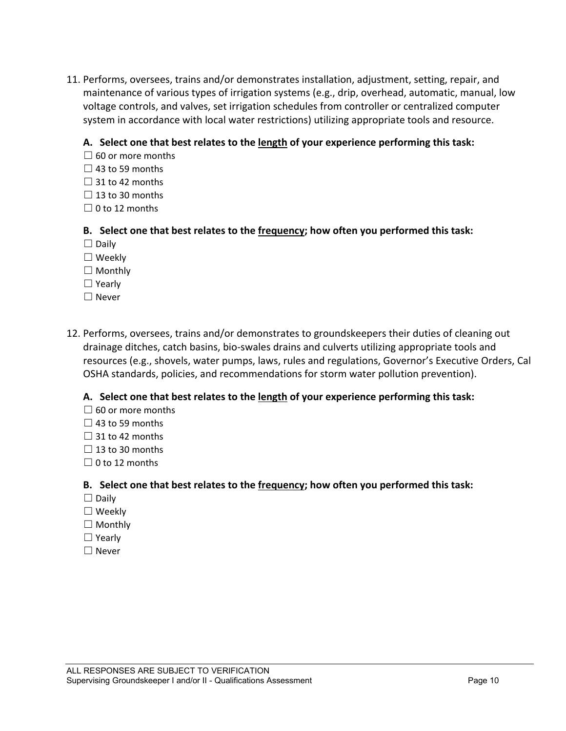11. Performs, oversees, trains and/or demonstrates installation, adjustment, setting, repair, and maintenance of various types of irrigation systems (e.g., drip, overhead, automatic, manual, low voltage controls, and valves, set irrigation schedules from controller or centralized computer system in accordance with local water restrictions) utilizing appropriate tools and resource.

#### **A. Select one that best relates to the length of your experience performing this task:**

- $\Box$  60 or more months
- $\Box$  43 to 59 months
- $\Box$  31 to 42 months
- $\Box$  13 to 30 months
- $\Box$  0 to 12 months

#### **B. Select one that best relates to the frequency; how often you performed this task:**

- $\Box$  Daily
- ☐ Weekly
- $\Box$  Monthly
- ☐ Yearly
- ☐ Never
- 12. Performs, oversees, trains and/or demonstrates to groundskeepers their duties of cleaning out drainage ditches, catch basins, bio-swales drains and culverts utilizing appropriate tools and resources (e.g., shovels, water pumps, laws, rules and regulations, Governor's Executive Orders, Cal OSHA standards, policies, and recommendations for storm water pollution prevention).

#### **A. Select one that best relates to the length of your experience performing this task:**

- $\Box$  60 or more months
- $\Box$  43 to 59 months
- $\Box$  31 to 42 months
- $\Box$  13 to 30 months
- $\Box$  0 to 12 months

- $\Box$  Daily
- ☐ Weekly
- □ Monthly
- ☐ Yearly
- ☐ Never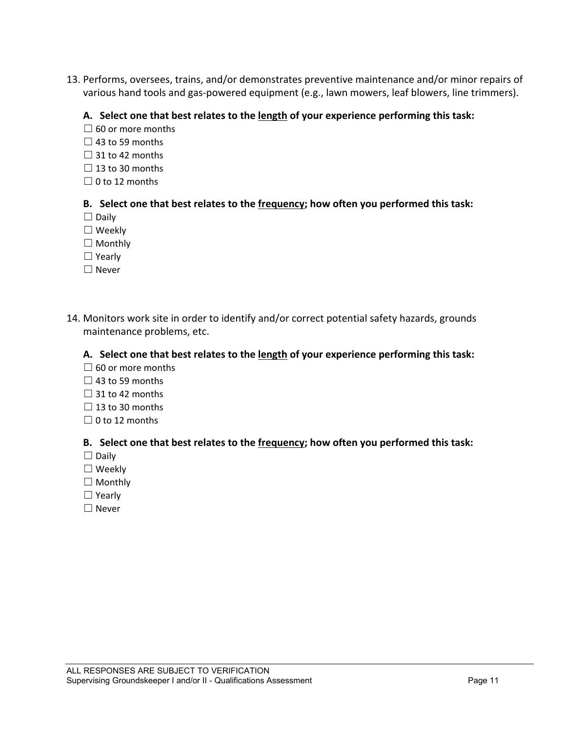13. Performs, oversees, trains, and/or demonstrates preventive maintenance and/or minor repairs of various hand tools and gas-powered equipment (e.g., lawn mowers, leaf blowers, line trimmers).

#### **A. Select one that best relates to the length of your experience performing this task:**

- $\Box$  60 or more months
- $\Box$  43 to 59 months
- $\Box$  31 to 42 months
- $\Box$  13 to 30 months
- $\Box$  0 to 12 months

#### **B. Select one that best relates to the frequency; how often you performed this task:**

- $\Box$  Daily
- ☐ Weekly
- □ Monthly
- ☐ Yearly
- ☐ Never
- 14. Monitors work site in order to identify and/or correct potential safety hazards, grounds maintenance problems, etc.

#### **A. Select one that best relates to the length of your experience performing this task:**

- $\Box$  60 or more months
- $\Box$  43 to 59 months
- $\Box$  31 to 42 months
- $\Box$  13 to 30 months
- $\Box$  0 to 12 months

- ☐ Daily
- ☐ Weekly
- □ Monthly
- ☐ Yearly
- ☐ Never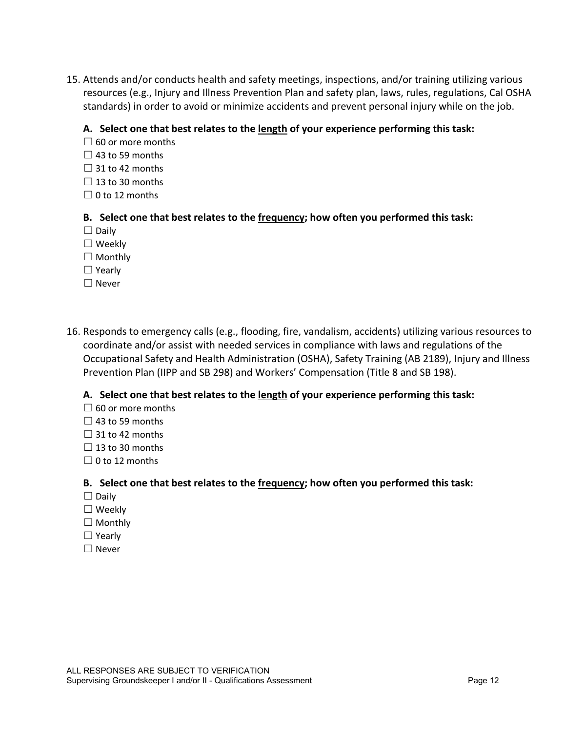15. Attends and/or conducts health and safety meetings, inspections, and/or training utilizing various resources (e.g., Injury and Illness Prevention Plan and safety plan, laws, rules, regulations, Cal OSHA standards) in order to avoid or minimize accidents and prevent personal injury while on the job.

#### **A. Select one that best relates to the length of your experience performing this task:**

- $\Box$  60 or more months
- $\Box$  43 to 59 months
- $\Box$  31 to 42 months
- $\Box$  13 to 30 months
- $\Box$  0 to 12 months

#### **B. Select one that best relates to the frequency; how often you performed this task:**

- $\Box$  Daily
- ☐ Weekly
- ☐ Monthly
- ☐ Yearly
- ☐ Never
- 16. Responds to emergency calls (e.g., flooding, fire, vandalism, accidents) utilizing various resources to coordinate and/or assist with needed services in compliance with laws and regulations of the Occupational Safety and Health Administration (OSHA), Safety Training (AB 2189), Injury and Illness Prevention Plan (IIPP and SB 298) and Workers' Compensation (Title 8 and SB 198).

#### **A. Select one that best relates to the length of your experience performing this task:**

- $\Box$  60 or more months
- $\Box$  43 to 59 months
- $\Box$  31 to 42 months
- $\Box$  13 to 30 months
- $\Box$  0 to 12 months

- $\Box$  Daily
- ☐ Weekly
- ☐ Monthly
- ☐ Yearly
- ☐ Never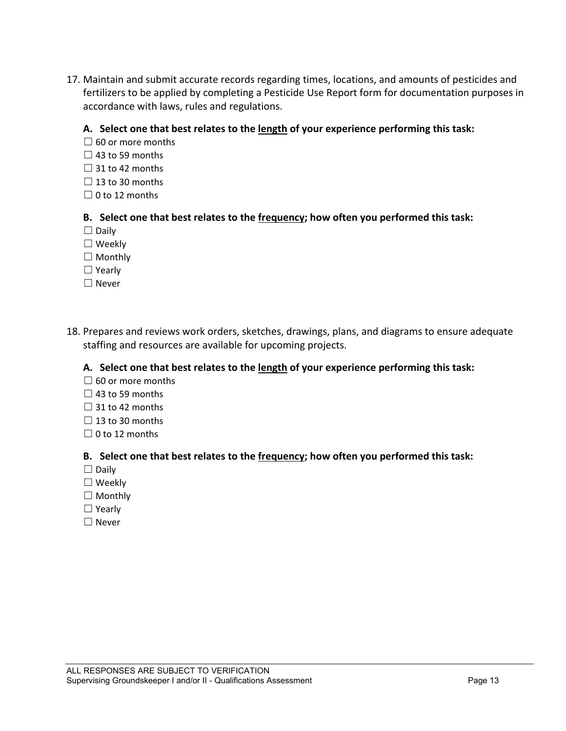17. Maintain and submit accurate records regarding times, locations, and amounts of pesticides and fertilizers to be applied by completing a Pesticide Use Report form for documentation purposes in accordance with laws, rules and regulations.

#### **A. Select one that best relates to the length of your experience performing this task:**

- $\Box$  60 or more months
- $\Box$  43 to 59 months
- $\Box$  31 to 42 months
- $\Box$  13 to 30 months
- $\Box$  0 to 12 months

#### **B. Select one that best relates to the frequency; how often you performed this task:**

- $\Box$  Daily
- ☐ Weekly
- ☐ Monthly
- ☐ Yearly
- ☐ Never
- 18. Prepares and reviews work orders, sketches, drawings, plans, and diagrams to ensure adequate staffing and resources are available for upcoming projects.

#### **A. Select one that best relates to the length of your experience performing this task:**

- $\Box$  60 or more months
- $\Box$  43 to 59 months
- $\Box$  31 to 42 months
- $\Box$  13 to 30 months
- $\Box$  0 to 12 months

- ☐ Daily
- ☐ Weekly
- ☐ Monthly
- ☐ Yearly
- ☐ Never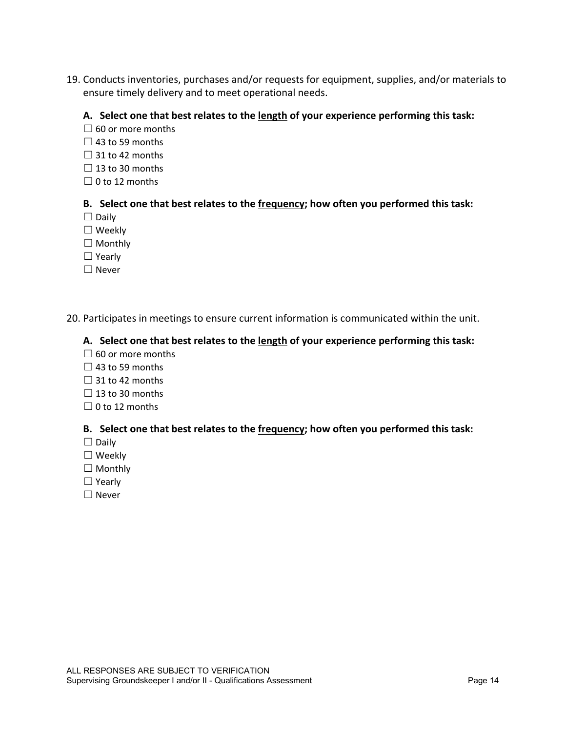19. Conducts inventories, purchases and/or requests for equipment, supplies, and/or materials to ensure timely delivery and to meet operational needs.

#### **A. Select one that best relates to the length of your experience performing this task:**

- $\Box$  60 or more months
- $\Box$  43 to 59 months
- $\Box$  31 to 42 months
- $\Box$  13 to 30 months
- $\Box$  0 to 12 months

#### **B. Select one that best relates to the frequency; how often you performed this task:**

- $\Box$  Daily
- ☐ Weekly
- □ Monthly
- ☐ Yearly
- ☐ Never

#### 20. Participates in meetings to ensure current information is communicated within the unit.

#### **A. Select one that best relates to the length of your experience performing this task:**

- $\Box$  60 or more months
- $\Box$  43 to 59 months
- $\Box$  31 to 42 months
- $\Box$  13 to 30 months
- $\Box$  0 to 12 months

- ☐ Daily
- ☐ Weekly
- ☐ Monthly
- ☐ Yearly
- ☐ Never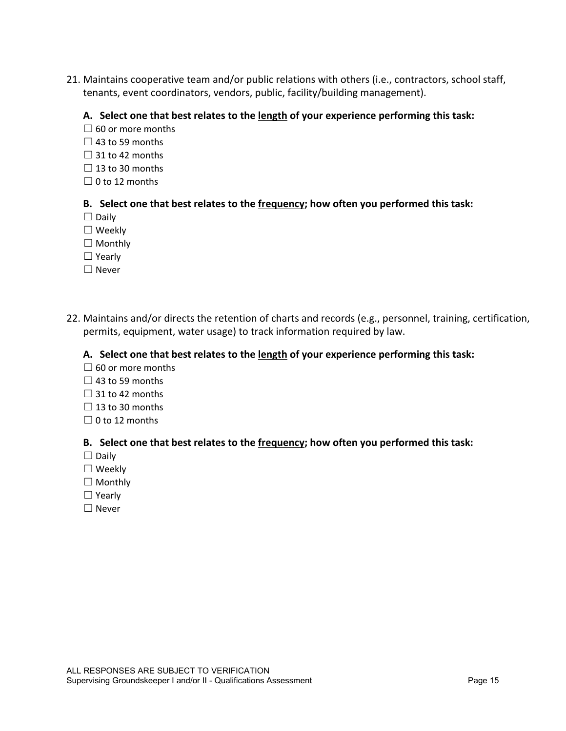21. Maintains cooperative team and/or public relations with others (i.e., contractors, school staff, tenants, event coordinators, vendors, public, facility/building management).

#### **A. Select one that best relates to the length of your experience performing this task:**

- $\Box$  60 or more months
- $\Box$  43 to 59 months
- $\Box$  31 to 42 months
- $\Box$  13 to 30 months
- $\Box$  0 to 12 months

#### **B. Select one that best relates to the frequency; how often you performed this task:**

- □ Daily
- ☐ Weekly
- □ Monthly
- ☐ Yearly
- ☐ Never
- 22. Maintains and/or directs the retention of charts and records (e.g., personnel, training, certification, permits, equipment, water usage) to track information required by law.

#### **A. Select one that best relates to the length of your experience performing this task:**

- $\Box$  60 or more months
- $\Box$  43 to 59 months
- $\Box$  31 to 42 months
- $\Box$  13 to 30 months
- $\Box$  0 to 12 months

- ☐ Daily
- ☐ Weekly
- □ Monthly
- ☐ Yearly
- ☐ Never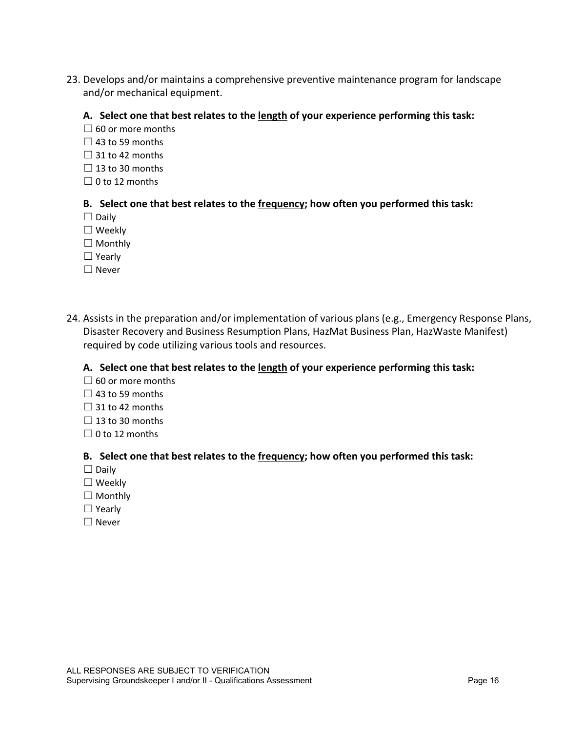23. Develops and/or maintains a comprehensive preventive maintenance program for landscape and/or mechanical equipment.

#### **A. Select one that best relates to the length of your experience performing this task:**

- $\Box$  60 or more months
- $\Box$  43 to 59 months
- $\Box$  31 to 42 months
- $\Box$  13 to 30 months
- $\Box$  0 to 12 months

#### **B. Select one that best relates to the frequency; how often you performed this task:**

- $\Box$  Daily
- ☐ Weekly
- □ Monthly
- ☐ Yearly
- ☐ Never
- 24. Assists in the preparation and/or implementation of various plans (e.g., Emergency Response Plans, Disaster Recovery and Business Resumption Plans, HazMat Business Plan, HazWaste Manifest) required by code utilizing various tools and resources.

#### **A. Select one that best relates to the length of your experience performing this task:**

- $\Box$  60 or more months
- $\Box$  43 to 59 months
- $\Box$  31 to 42 months
- $\Box$  13 to 30 months
- $\Box$  0 to 12 months

- ☐ Daily
- ☐ Weekly
- ☐ Monthly
- ☐ Yearly
- ☐ Never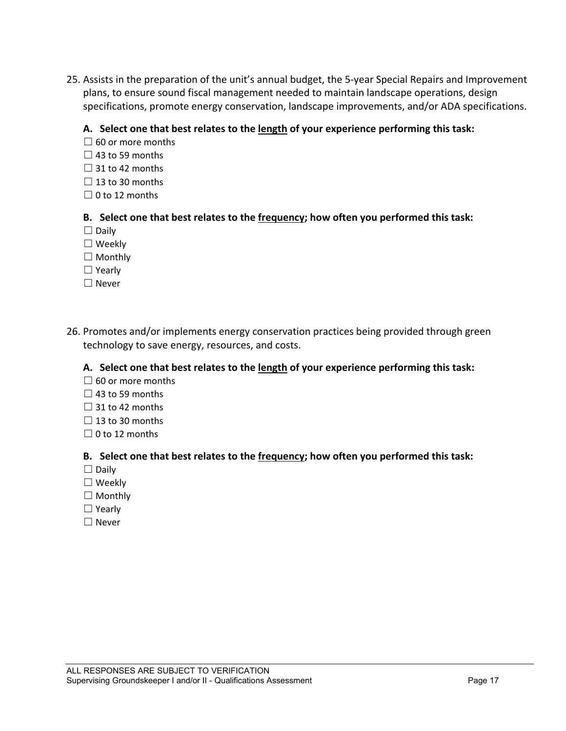25. Assists in the preparation of the unit's annual budget, the 5-year Special Repairs and Improvement plans, to ensure sound fiscal management needed to maintain landscape operations, design specifications, promote energy conservation, landscape improvements, and/or ADA specifications.

#### **A. Select one that best relates to the length of your experience performing this task:**

- $\Box$  60 or more months
- $\Box$  43 to 59 months
- $\Box$  31 to 42 months
- $\Box$  13 to 30 months
- $\Box$  0 to 12 months

#### **B. Select one that best relates to the frequency; how often you performed this task:**

- $\Box$  Daily
- ☐ Weekly
- ☐ Monthly
- ☐ Yearly
- ☐ Never
- 26. Promotes and/or implements energy conservation practices being provided through green technology to save energy, resources, and costs.

#### **A. Select one that best relates to the length of your experience performing this task:**

- $\Box$  60 or more months
- $\Box$  43 to 59 months
- $\Box$  31 to 42 months
- $\Box$  13 to 30 months
- $\Box$  0 to 12 months

- ☐ Daily
- ☐ Weekly
- ☐ Monthly
- ☐ Yearly
- ☐ Never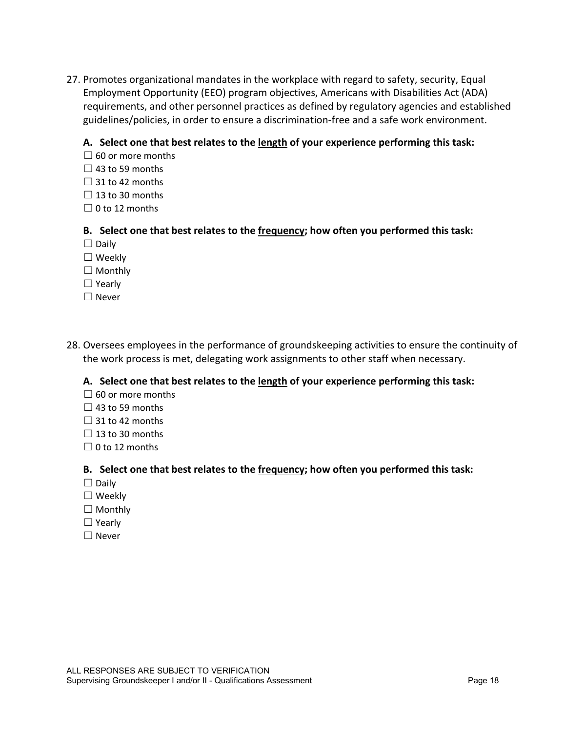27. Promotes organizational mandates in the workplace with regard to safety, security, Equal Employment Opportunity (EEO) program objectives, Americans with Disabilities Act (ADA) requirements, and other personnel practices as defined by regulatory agencies and established guidelines/policies, in order to ensure a discrimination-free and a safe work environment.

#### **A. Select one that best relates to the length of your experience performing this task:**

- $\Box$  60 or more months
- $\Box$  43 to 59 months
- $\Box$  31 to 42 months
- $\Box$  13 to 30 months
- $\Box$  0 to 12 months

#### **B. Select one that best relates to the frequency; how often you performed this task:**

- $\Box$  Daily
- ☐ Weekly
- $\Box$  Monthly
- ☐ Yearly
- ☐ Never
- 28. Oversees employees in the performance of groundskeeping activities to ensure the continuity of the work process is met, delegating work assignments to other staff when necessary.

#### **A. Select one that best relates to the length of your experience performing this task:**

- $\Box$  60 or more months
- $\Box$  43 to 59 months
- $\Box$  31 to 42 months
- $\Box$  13 to 30 months
- $\Box$  0 to 12 months

- $\Box$  Daily
- ☐ Weekly
- $\Box$  Monthly
- ☐ Yearly
- ☐ Never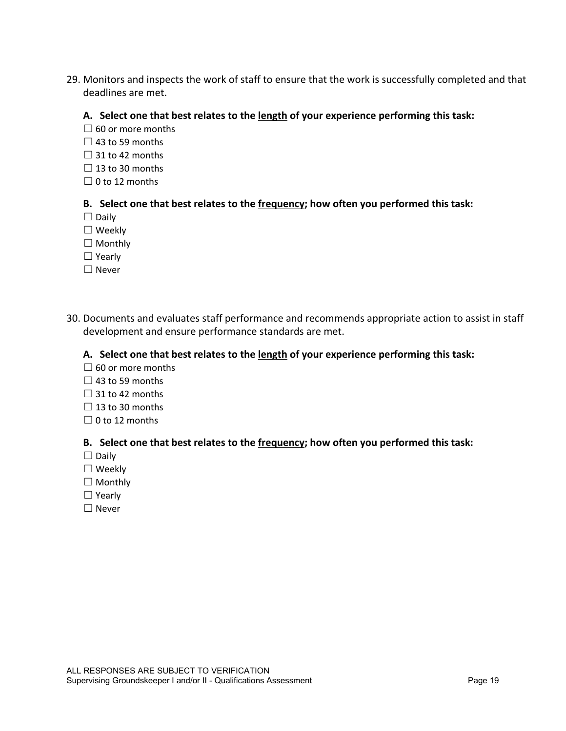29. Monitors and inspects the work of staff to ensure that the work is successfully completed and that deadlines are met.

#### **A. Select one that best relates to the length of your experience performing this task:**

- $\Box$  60 or more months
- $\Box$  43 to 59 months
- $\Box$  31 to 42 months
- $\Box$  13 to 30 months
- $\Box$  0 to 12 months

#### **B. Select one that best relates to the frequency; how often you performed this task:**

- □ Daily
- ☐ Weekly
- □ Monthly
- ☐ Yearly
- ☐ Never
- 30. Documents and evaluates staff performance and recommends appropriate action to assist in staff development and ensure performance standards are met.

#### **A. Select one that best relates to the length of your experience performing this task:**

- $\Box$  60 or more months
- $\Box$  43 to 59 months
- $\Box$  31 to 42 months
- $\Box$  13 to 30 months
- $\Box$  0 to 12 months

- ☐ Daily
- ☐ Weekly
- □ Monthly
- ☐ Yearly
- ☐ Never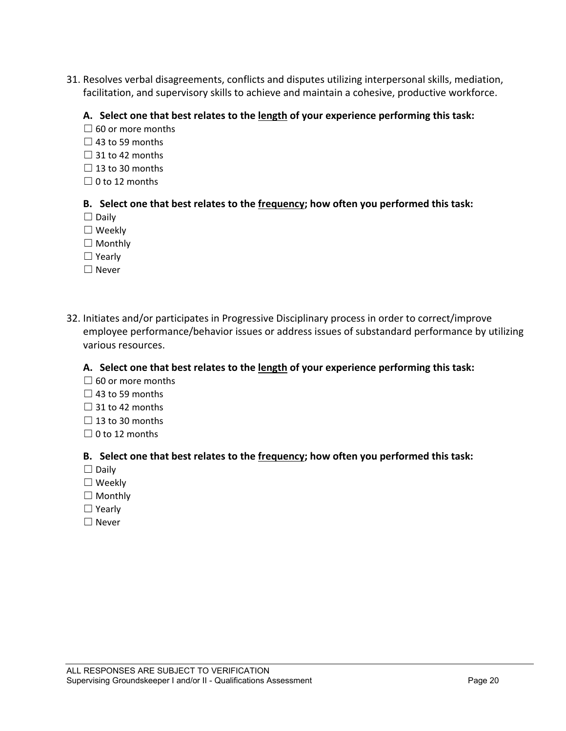31. Resolves verbal disagreements, conflicts and disputes utilizing interpersonal skills, mediation, facilitation, and supervisory skills to achieve and maintain a cohesive, productive workforce.

#### **A. Select one that best relates to the length of your experience performing this task:**

- $\Box$  60 or more months
- $\Box$  43 to 59 months
- $\Box$  31 to 42 months
- $\Box$  13 to 30 months
- $\Box$  0 to 12 months

#### **B. Select one that best relates to the frequency; how often you performed this task:**

- □ Daily
- ☐ Weekly
- □ Monthly
- ☐ Yearly
- ☐ Never
- 32. Initiates and/or participates in Progressive Disciplinary process in order to correct/improve employee performance/behavior issues or address issues of substandard performance by utilizing various resources.

#### **A. Select one that best relates to the length of your experience performing this task:**

- $\Box$  60 or more months
- $\Box$  43 to 59 months
- $\Box$  31 to 42 months
- $\Box$  13 to 30 months
- $\Box$  0 to 12 months

- ☐ Daily
- ☐ Weekly
- ☐ Monthly
- ☐ Yearly
- ☐ Never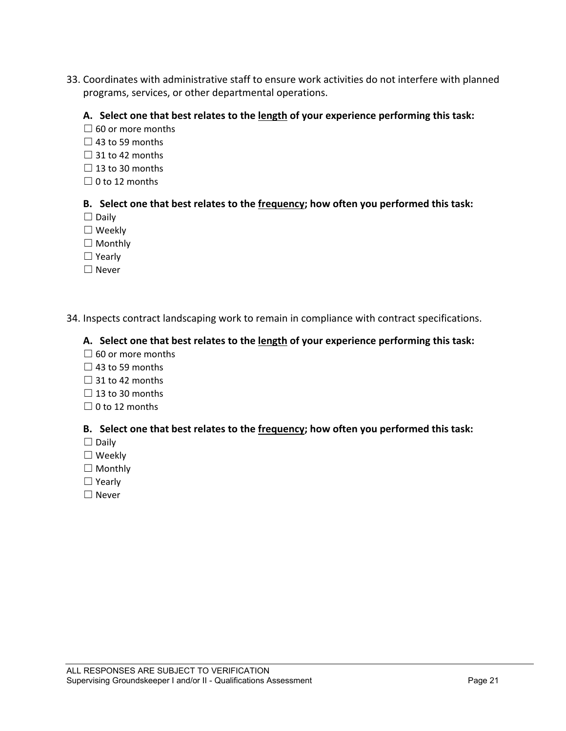33. Coordinates with administrative staff to ensure work activities do not interfere with planned programs, services, or other departmental operations.

#### **A. Select one that best relates to the length of your experience performing this task:**

- $\Box$  60 or more months
- $\Box$  43 to 59 months
- $\Box$  31 to 42 months
- $\Box$  13 to 30 months
- $\Box$  0 to 12 months

#### **B. Select one that best relates to the frequency; how often you performed this task:**

- ☐ Daily
- ☐ Weekly
- □ Monthly
- ☐ Yearly
- ☐ Never

#### 34. Inspects contract landscaping work to remain in compliance with contract specifications.

#### **A. Select one that best relates to the length of your experience performing this task:**

- $\Box$  60 or more months
- $\Box$  43 to 59 months
- $\Box$  31 to 42 months
- $\Box$  13 to 30 months
- $\Box$  0 to 12 months

- ☐ Daily
- ☐ Weekly
- ☐ Monthly
- ☐ Yearly
- ☐ Never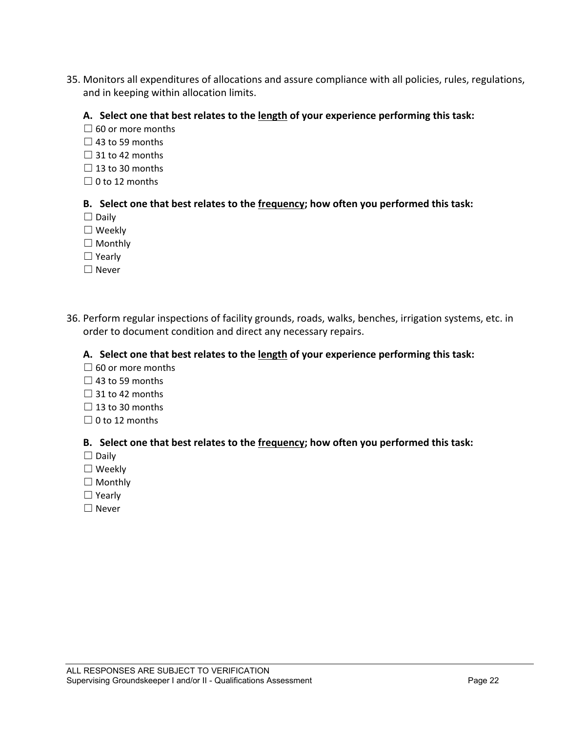35. Monitors all expenditures of allocations and assure compliance with all policies, rules, regulations, and in keeping within allocation limits.

#### **A. Select one that best relates to the length of your experience performing this task:**

- $\Box$  60 or more months
- $\Box$  43 to 59 months
- $\Box$  31 to 42 months
- $\Box$  13 to 30 months
- $\Box$  0 to 12 months

#### **B. Select one that best relates to the frequency; how often you performed this task:**

- ☐ Daily
- ☐ Weekly
- □ Monthly
- ☐ Yearly
- ☐ Never
- 36. Perform regular inspections of facility grounds, roads, walks, benches, irrigation systems, etc. in order to document condition and direct any necessary repairs.

#### **A. Select one that best relates to the length of your experience performing this task:**

- $\Box$  60 or more months
- $\Box$  43 to 59 months
- $\Box$  31 to 42 months
- $\Box$  13 to 30 months
- $\Box$  0 to 12 months

- ☐ Daily
- ☐ Weekly
- □ Monthly
- ☐ Yearly
- ☐ Never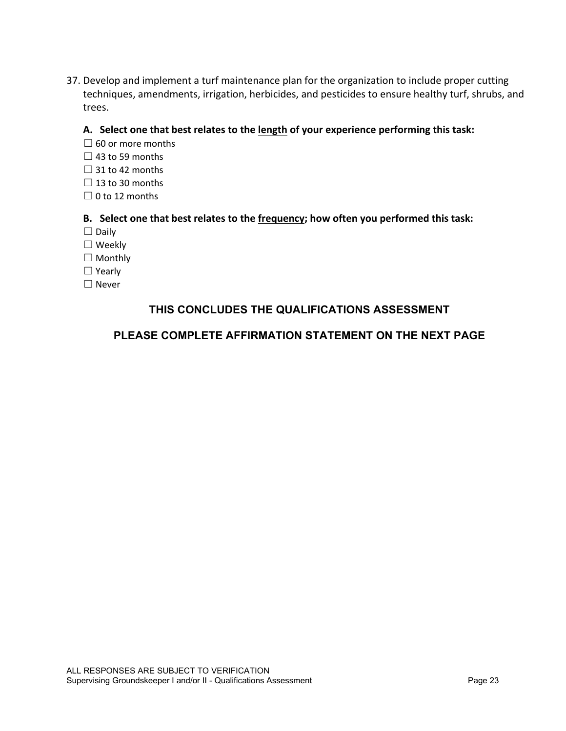37. Develop and implement a turf maintenance plan for the organization to include proper cutting techniques, amendments, irrigation, herbicides, and pesticides to ensure healthy turf, shrubs, and trees.

#### **A. Select one that best relates to the length of your experience performing this task:**

- $\Box$  60 or more months
- $\Box$  43 to 59 months
- $\Box$  31 to 42 months
- $\Box$  13 to 30 months
- $\Box$  0 to 12 months

#### **B. Select one that best relates to the frequency; how often you performed this task:**

- ☐ Daily
- ☐ Weekly
- □ Monthly
- ☐ Yearly
- ☐ Never

# **THIS CONCLUDES THE QUALIFICATIONS ASSESSMENT**

## **PLEASE COMPLETE AFFIRMATION STATEMENT ON THE NEXT PAGE**